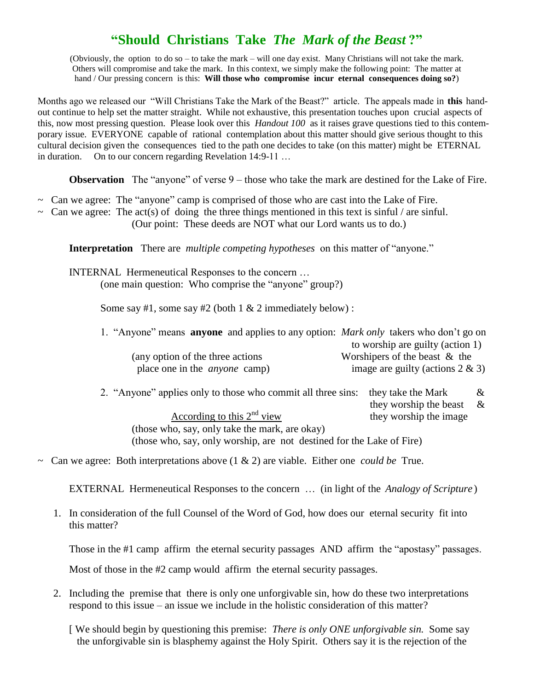## **"Should Christians Take** *The Mark of the Beast* **?"**

(Obviously, the option to do so – to take the mark – will one day exist. Many Christians will not take the mark. Others will compromise and take the mark. In this context, we simply make the following point: The matter at hand / Our pressing concern is this: **Will those who compromise incur eternal consequences doing so?**)

Months ago we released our "Will Christians Take the Mark of the Beast?" article. The appeals made in **this** handout continue to help set the matter straight. While not exhaustive, this presentation touches upon crucial aspects of this, now most pressing question. Please look over this *Handout 100* as it raises grave questions tied to this contemporary issue. EVERYONE capable of rational contemplation about this matter should give serious thought to this cultural decision given the consequences tied to the path one decides to take (on this matter) might be ETERNAL in duration. On to our concern regarding Revelation 14:9-11 ...

**Observation** The "anyone" of verse  $9$  – those who take the mark are destined for the Lake of Fire.

- $\sim$  Can we agree: The "anyone" camp is comprised of those who are cast into the Lake of Fire.
- $\sim$  Can we agree: The act(s) of doing the three things mentioned in this text is sinful / are sinful.
	- (Our point: These deeds are NOT what our Lord wants us to do.)

**Interpretation** There are *multiple competing hypotheses* on this matter of "anyone."

INTERNAL Hermeneutical Responses to the concern … (one main question: Who comprise the "anyone" group?)

Some say #1, some say #2 (both  $1 \& 2$  immediately below):

1. "Anyone" means **anyone** and applies to any option: *Mark only* takers who don't go on to worship are guilty (action 1)

|                                      | $\omega$ worship are gainty (action 1) |
|--------------------------------------|----------------------------------------|
| (any option of the three actions)    | Worshipers of the beast $\&$ the       |
| place one in the <i>anyone</i> camp) | image are guilty (actions $2 \& 3$ )   |

2. "Anyone" applies only to those who commit all three sins: they take the Mark  $\&$  they worship the beast &  $\frac{\text{According to this } 2^{\text{nd}} \text{ view}}{\text{length}}$  they worship the image (those who, say, only take the mark, are okay)

(those who, say, only worship, are not destined for the Lake of Fire)

~ Can we agree: Both interpretations above (1 & 2) are viable. Either one *could be* True.

EXTERNAL Hermeneutical Responses to the concern … (in light of the *Analogy of Scripture* )

 1. In consideration of the full Counsel of the Word of God, how does our eternal security fit into this matter?

Those in the #1 camp affirm the eternal security passages AND affirm the "apostasy" passages.

Most of those in the #2 camp would affirm the eternal security passages.

 2. Including the premise that there is only one unforgivable sin, how do these two interpretations respond to this issue – an issue we include in the holistic consideration of this matter?

[ We should begin by questioning this premise: *There is only ONE unforgivable sin.* Some say the unforgivable sin is blasphemy against the Holy Spirit. Others say it is the rejection of the